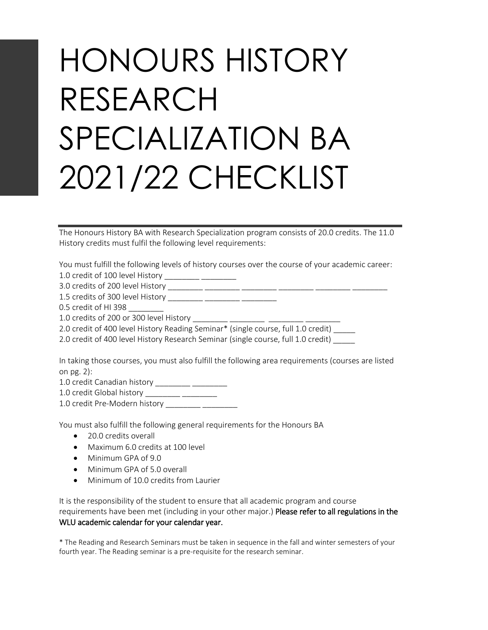## HONOURS HISTORY RESEARCH SPECIALIZATION BA 2021/22 CHECKLIST

The Honours History BA with Research Specialization program consists of 20.0 credits. The 11.0 History credits must fulfil the following level requirements:

You must fulfill the following levels of history courses over the course of your academic career:

1.0 credit of 100 level History \_\_\_\_\_\_\_\_ \_\_\_\_\_\_\_\_

3.0 credits of 200 level History \_\_\_\_\_\_\_\_ \_\_\_\_\_\_\_\_ \_\_\_\_\_\_\_\_ \_\_\_\_\_\_\_\_ \_\_\_\_\_\_\_\_ \_\_\_\_\_\_\_\_

1.5 credits of 300 level History \_\_\_\_\_\_\_\_\_ \_\_\_\_\_\_\_\_ \_\_\_\_\_\_\_\_\_\_

0.5 credit of HI 398

1.0 credits of 200 or 300 level History \_\_\_\_\_\_\_\_

2.0 credit of 400 level History Reading Seminar\* (single course, full 1.0 credit) \_\_\_\_\_

2.0 credit of 400 level History Research Seminar (single course, full 1.0 credit) \_\_\_\_\_

In taking those courses, you must also fulfill the following area requirements (courses are listed on pg. 2):

1.0 credit Canadian history \_\_\_\_\_\_\_\_ \_\_\_\_\_\_\_

1.0 credit Global history \_\_\_\_\_\_\_\_\_ \_\_\_\_\_\_\_\_\_

1.0 credit Pre-Modern history \_\_\_\_\_\_\_\_ \_\_\_\_\_\_\_\_

You must also fulfill the following general requirements for the Honours BA

- 20.0 credits overall
- Maximum 6.0 credits at 100 level
- Minimum GPA of 9.0
- Minimum GPA of 5.0 overall
- Minimum of 10.0 credits from Laurier

It is the responsibility of the student to ensure that all academic program and course

## requirements have been met (including in your other major.) Please refer to all regulations in the WLU academic calendar for your calendar year.

\* The Reading and Research Seminars must be taken in sequence in the fall and winter semesters of your fourth year. The Reading seminar is a pre-requisite for the research seminar.